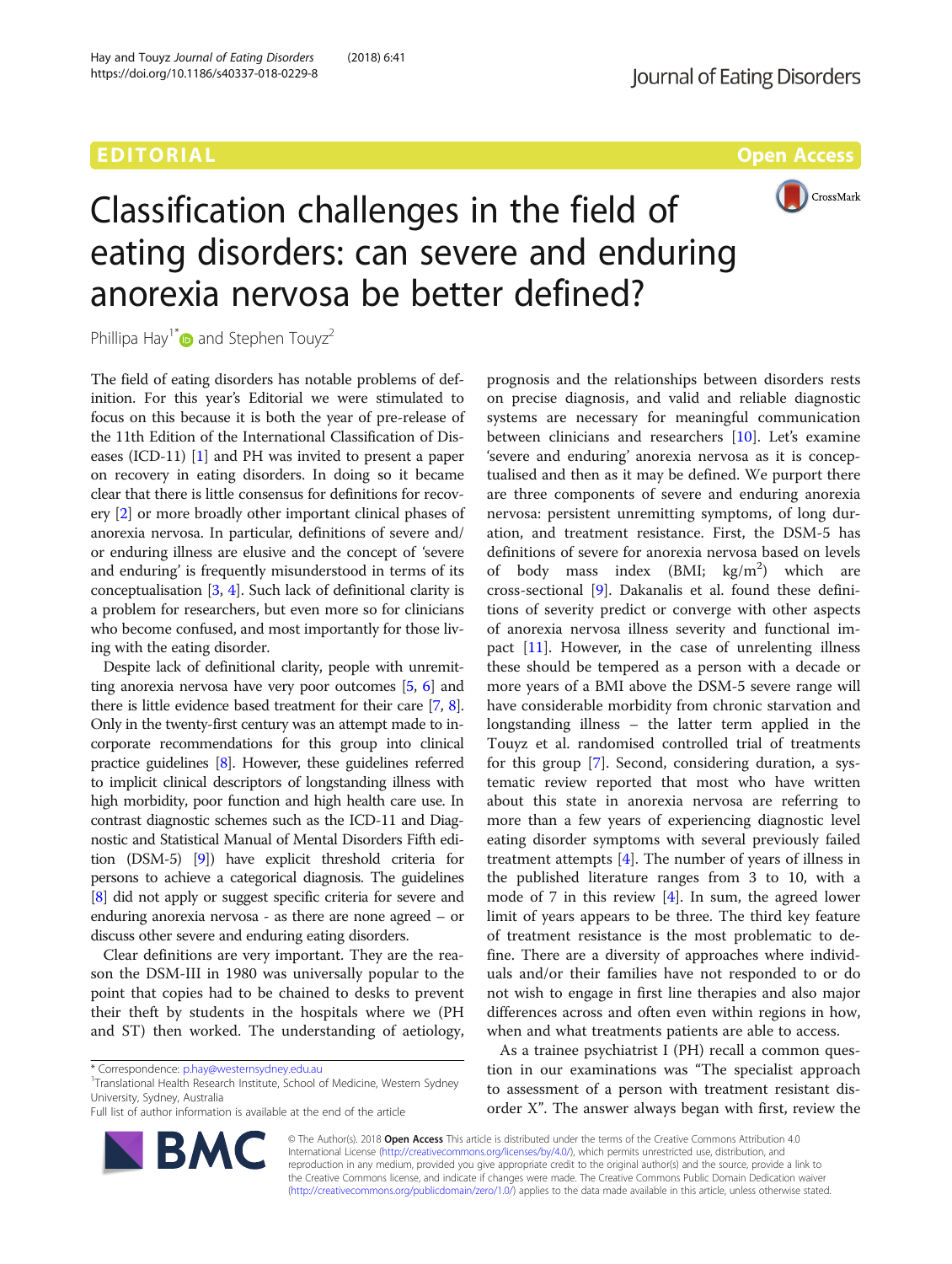# EDITORIAL AND ENGINEERING CONTINUES OPEN ACCESS



# Classification challenges in the field of eating disorders: can severe and enduring anorexia nervosa be better defined?

Phillipa Hay<sup>1[\\*](http://orcid.org/0000-0003-0296-6856)</sup> and Stephen Touyz<sup>2</sup>

The field of eating disorders has notable problems of definition. For this year's Editorial we were stimulated to focus on this because it is both the year of pre-release of the 11th Edition of the International Classification of Diseases (ICD-11) [[1\]](#page-2-0) and PH was invited to present a paper on recovery in eating disorders. In doing so it became clear that there is little consensus for definitions for recovery [\[2\]](#page-2-0) or more broadly other important clinical phases of anorexia nervosa. In particular, definitions of severe and/ or enduring illness are elusive and the concept of 'severe and enduring' is frequently misunderstood in terms of its conceptualisation [[3,](#page-2-0) [4\]](#page-2-0). Such lack of definitional clarity is a problem for researchers, but even more so for clinicians who become confused, and most importantly for those living with the eating disorder.

Despite lack of definitional clarity, people with unremitting anorexia nervosa have very poor outcomes [\[5,](#page-2-0) [6](#page-2-0)] and there is little evidence based treatment for their care [\[7,](#page-2-0) [8](#page-2-0)]. Only in the twenty-first century was an attempt made to incorporate recommendations for this group into clinical practice guidelines [[8](#page-2-0)]. However, these guidelines referred to implicit clinical descriptors of longstanding illness with high morbidity, poor function and high health care use. In contrast diagnostic schemes such as the ICD-11 and Diagnostic and Statistical Manual of Mental Disorders Fifth edition (DSM-5) [[9](#page-2-0)]) have explicit threshold criteria for persons to achieve a categorical diagnosis. The guidelines [[8](#page-2-0)] did not apply or suggest specific criteria for severe and enduring anorexia nervosa - as there are none agreed – or discuss other severe and enduring eating disorders.

Clear definitions are very important. They are the reason the DSM-III in 1980 was universally popular to the point that copies had to be chained to desks to prevent their theft by students in the hospitals where we (PH and ST) then worked. The understanding of aetiology,

**BM** 

<sup>1</sup>Translational Health Research Institute, School of Medicine, Western Sydney University, Sydney, Australia

Full list of author information is available at the end of the article



prognosis and the relationships between disorders rests on precise diagnosis, and valid and reliable diagnostic systems are necessary for meaningful communication between clinicians and researchers [[10\]](#page-2-0). Let's examine 'severe and enduring' anorexia nervosa as it is conceptualised and then as it may be defined. We purport there are three components of severe and enduring anorexia nervosa: persistent unremitting symptoms, of long duration, and treatment resistance. First, the DSM-5 has definitions of severe for anorexia nervosa based on levels of body mass index (BMI; kg/m<sup>2</sup>) which are cross-sectional [[9\]](#page-2-0). Dakanalis et al. found these definitions of severity predict or converge with other aspects of anorexia nervosa illness severity and functional impact  $[11]$  $[11]$ . However, in the case of unrelenting illness these should be tempered as a person with a decade or more years of a BMI above the DSM-5 severe range will have considerable morbidity from chronic starvation and longstanding illness – the latter term applied in the Touyz et al. randomised controlled trial of treatments for this group [\[7\]](#page-2-0). Second, considering duration, a systematic review reported that most who have written about this state in anorexia nervosa are referring to more than a few years of experiencing diagnostic level eating disorder symptoms with several previously failed treatment attempts [\[4](#page-2-0)]. The number of years of illness in the published literature ranges from 3 to 10, with a mode of 7 in this review  $[4]$  $[4]$ . In sum, the agreed lower limit of years appears to be three. The third key feature of treatment resistance is the most problematic to define. There are a diversity of approaches where individuals and/or their families have not responded to or do not wish to engage in first line therapies and also major differences across and often even within regions in how, when and what treatments patients are able to access.

As a trainee psychiatrist I (PH) recall a common question in our examinations was "The specialist approach to assessment of a person with treatment resistant disorder X". The answer always began with first, review the

© The Author(s). 2018 Open Access This article is distributed under the terms of the Creative Commons Attribution 4.0 International License [\(http://creativecommons.org/licenses/by/4.0/](http://creativecommons.org/licenses/by/4.0/)), which permits unrestricted use, distribution, and reproduction in any medium, provided you give appropriate credit to the original author(s) and the source, provide a link to the Creative Commons license, and indicate if changes were made. The Creative Commons Public Domain Dedication waiver [\(http://creativecommons.org/publicdomain/zero/1.0/](http://creativecommons.org/publicdomain/zero/1.0/)) applies to the data made available in this article, unless otherwise stated.

<sup>\*</sup> Correspondence: [p.hay@westernsydney.edu.au](mailto:p.hay@westernsydney.edu.au) <sup>1</sup>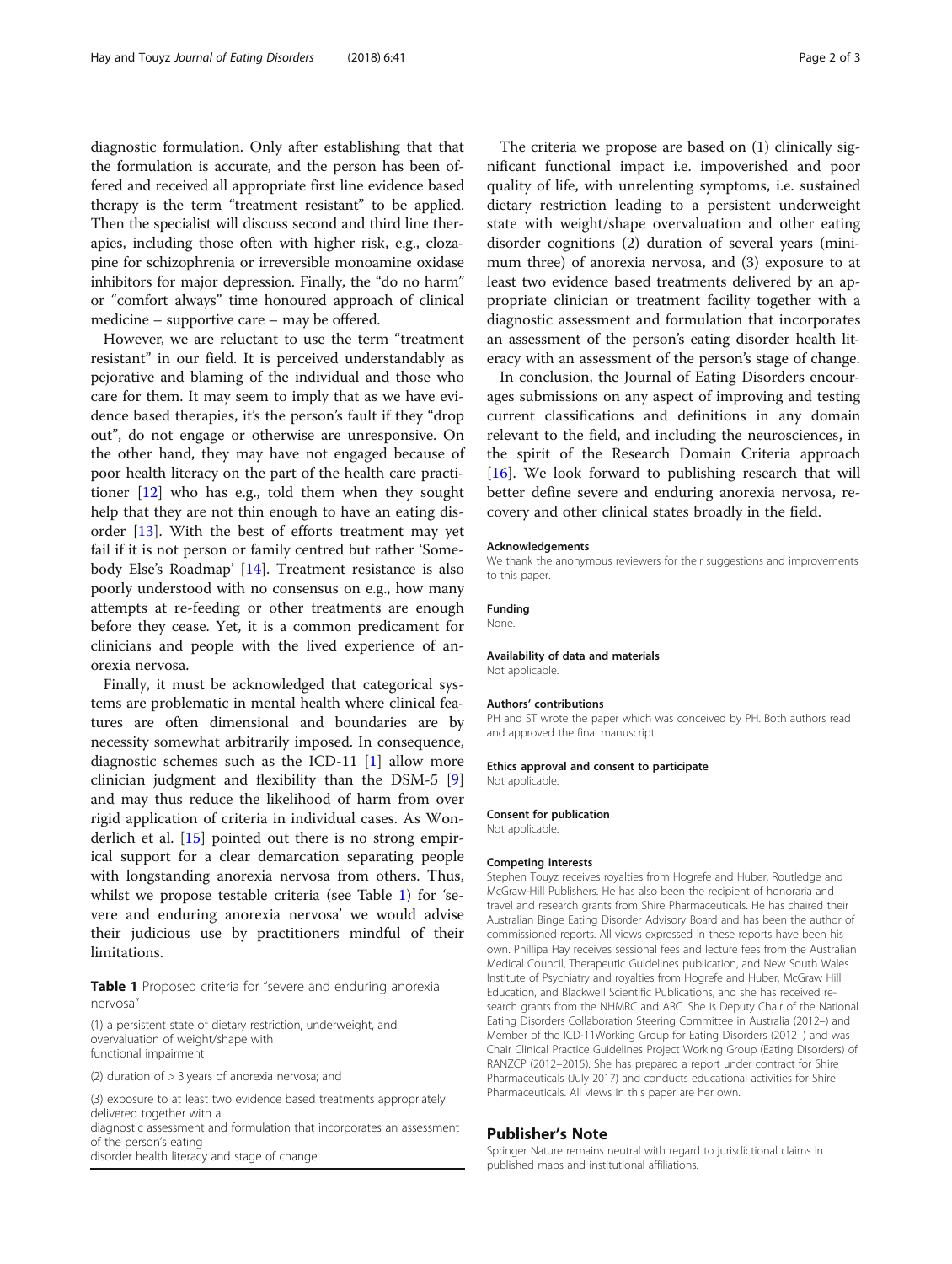diagnostic formulation. Only after establishing that that the formulation is accurate, and the person has been offered and received all appropriate first line evidence based therapy is the term "treatment resistant" to be applied. Then the specialist will discuss second and third line therapies, including those often with higher risk, e.g., clozapine for schizophrenia or irreversible monoamine oxidase inhibitors for major depression. Finally, the "do no harm" or "comfort always" time honoured approach of clinical medicine – supportive care – may be offered.

However, we are reluctant to use the term "treatment resistant" in our field. It is perceived understandably as pejorative and blaming of the individual and those who care for them. It may seem to imply that as we have evidence based therapies, it's the person's fault if they "drop out", do not engage or otherwise are unresponsive. On the other hand, they may have not engaged because of poor health literacy on the part of the health care practitioner [[12\]](#page-2-0) who has e.g., told them when they sought help that they are not thin enough to have an eating disorder [\[13](#page-2-0)]. With the best of efforts treatment may yet fail if it is not person or family centred but rather 'Somebody Else's Roadmap' [[14\]](#page-2-0). Treatment resistance is also poorly understood with no consensus on e.g., how many attempts at re-feeding or other treatments are enough before they cease. Yet, it is a common predicament for clinicians and people with the lived experience of anorexia nervosa.

Finally, it must be acknowledged that categorical systems are problematic in mental health where clinical features are often dimensional and boundaries are by necessity somewhat arbitrarily imposed. In consequence, diagnostic schemes such as the ICD-11 [\[1](#page-2-0)] allow more clinician judgment and flexibility than the DSM-5 [\[9](#page-2-0)] and may thus reduce the likelihood of harm from over rigid application of criteria in individual cases. As Wonderlich et al. [[15\]](#page-2-0) pointed out there is no strong empirical support for a clear demarcation separating people with longstanding anorexia nervosa from others. Thus, whilst we propose testable criteria (see Table 1) for 'severe and enduring anorexia nervosa' we would advise their judicious use by practitioners mindful of their limitations.

Table 1 Proposed criteria for "severe and enduring anorexia nervosa"

(1) a persistent state of dietary restriction, underweight, and overvaluation of weight/shape with functional impairment

(2) duration of > 3 years of anorexia nervosa; and

(3) exposure to at least two evidence based treatments appropriately delivered together with a diagnostic assessment and formulation that incorporates an assessment of the person's eating disorder health literacy and stage of change

The criteria we propose are based on (1) clinically significant functional impact i.e. impoverished and poor quality of life, with unrelenting symptoms, i.e. sustained dietary restriction leading to a persistent underweight state with weight/shape overvaluation and other eating disorder cognitions (2) duration of several years (minimum three) of anorexia nervosa, and (3) exposure to at least two evidence based treatments delivered by an appropriate clinician or treatment facility together with a diagnostic assessment and formulation that incorporates an assessment of the person's eating disorder health literacy with an assessment of the person's stage of change.

In conclusion, the Journal of Eating Disorders encourages submissions on any aspect of improving and testing current classifications and definitions in any domain relevant to the field, and including the neurosciences, in the spirit of the Research Domain Criteria approach [[16\]](#page-2-0). We look forward to publishing research that will better define severe and enduring anorexia nervosa, recovery and other clinical states broadly in the field.

#### Acknowledgements

We thank the anonymous reviewers for their suggestions and improvements to this paper.

#### Funding

None.

#### Availability of data and materials

Not applicable.

# Authors' contributions

PH and ST wrote the paper which was conceived by PH. Both authors read and approved the final manuscript

# Ethics approval and consent to participate

Not applicable

#### Consent for publication

Not applicable.

#### Competing interests

Stephen Touyz receives royalties from Hogrefe and Huber, Routledge and McGraw-Hill Publishers. He has also been the recipient of honoraria and travel and research grants from Shire Pharmaceuticals. He has chaired their Australian Binge Eating Disorder Advisory Board and has been the author of commissioned reports. All views expressed in these reports have been his own. Phillipa Hay receives sessional fees and lecture fees from the Australian Medical Council, Therapeutic Guidelines publication, and New South Wales Institute of Psychiatry and royalties from Hogrefe and Huber, McGraw Hill Education, and Blackwell Scientific Publications, and she has received research grants from the NHMRC and ARC. She is Deputy Chair of the National Eating Disorders Collaboration Steering Committee in Australia (2012–) and Member of the ICD-11Working Group for Eating Disorders (2012–) and was Chair Clinical Practice Guidelines Project Working Group (Eating Disorders) of RANZCP (2012–2015). She has prepared a report under contract for Shire Pharmaceuticals (July 2017) and conducts educational activities for Shire Pharmaceuticals. All views in this paper are her own.

### Publisher's Note

Springer Nature remains neutral with regard to jurisdictional claims in published maps and institutional affiliations.